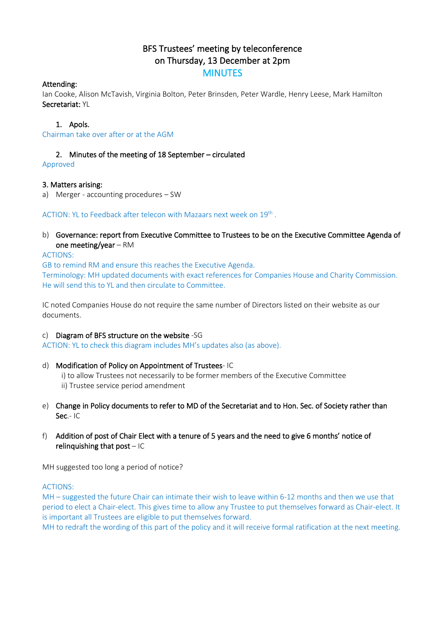# BFS Trustees' meeting by teleconference on Thursday, 13 December at 2pm **MINUTES**

# Attending:

Ian Cooke, Alison McTavish, Virginia Bolton, Peter Brinsden, Peter Wardle, Henry Leese, Mark Hamilton Secretariat: YL

# 1. Apols.

Chairman take over after or at the AGM

# 2. Minutes of the meeting of 18 September – circulated

Approved

# 3. Matters arising:

a) Merger - accounting procedures – SW

ACTION: YL to Feedback after telecon with Mazaars next week on 19<sup>th</sup>.

b) Governance: report from Executive Committee to Trustees to be on the Executive Committee Agenda of one meeting/year – RM

ACTIONS:

GB to remind RM and ensure this reaches the Executive Agenda. Terminology: MH updated documents with exact references for Companies House and Charity Commission. He will send this to YL and then circulate to Committee.

IC noted Companies House do not require the same number of Directors listed on their website as our documents.

#### c) Diagram of BFS structure on the website -SG

ACTION: YL to check this diagram includes MH's updates also (as above).

- d) Modification of Policy on Appointment of Trustees- IC
	- i) to allow Trustees not necessarily to be former members of the Executive Committee
	- ii) Trustee service period amendment
- e) Change in Policy documents to refer to MD of the Secretariat and to Hon. Sec. of Society rather than Sec.- IC
- f) Addition of post of Chair Elect with a tenure of 5 years and the need to give 6 months' notice of relinquishing that  $post - IC$

MH suggested too long a period of notice?

#### ACTIONS:

MH – suggested the future Chair can intimate their wish to leave within 6-12 months and then we use that period to elect a Chair-elect. This gives time to allow any Trustee to put themselves forward as Chair-elect. It is important all Trustees are eligible to put themselves forward.

MH to redraft the wording of this part of the policy and it will receive formal ratification at the next meeting.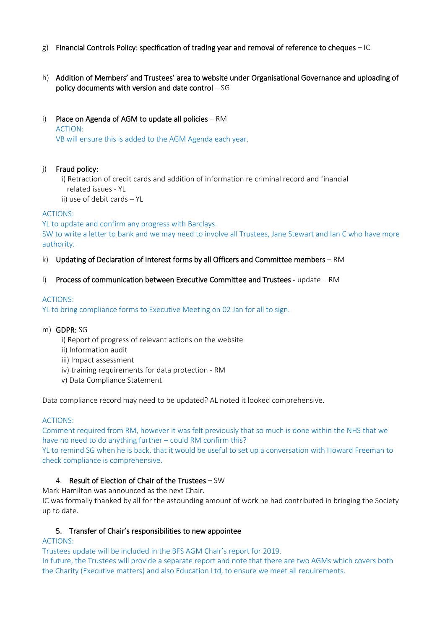- g) Financial Controls Policy: specification of trading year and removal of reference to cheques  $-1C$
- h) Addition of Members' and Trustees' area to website under Organisational Governance and uploading of policy documents with version and date control – SG
- i) Place on Agenda of AGM to update all policies RM ACTION: VB will ensure this is added to the AGM Agenda each year.

# j) Fraud policy:

- i) Retraction of credit cards and addition of information re criminal record and financial related issues - YL
- ii) use of debit cards YL

# ACTIONS:

YL to update and confirm any progress with Barclays.

SW to write a letter to bank and we may need to involve all Trustees, Jane Stewart and Ian C who have more authority.

- k) Updating of Declaration of Interest forms by all Officers and Committee members RM
- l) Process of communication between Executive Committee and Trustees update RM

# ACTIONS:

YL to bring compliance forms to Executive Meeting on 02 Jan for all to sign.

- m) GDPR: SG
	- i) Report of progress of relevant actions on the website
	- ii) Information audit
	- iii) Impact assessment
	- iv) training requirements for data protection RM
	- v) Data Compliance Statement

Data compliance record may need to be updated? AL noted it looked comprehensive.

#### ACTIONS:

Comment required from RM, however it was felt previously that so much is done within the NHS that we have no need to do anything further – could RM confirm this?

YL to remind SG when he is back, that it would be useful to set up a conversation with Howard Freeman to check compliance is comprehensive.

# 4. Result of Election of Chair of the Trustees – SW

Mark Hamilton was announced as the next Chair.

IC was formally thanked by all for the astounding amount of work he had contributed in bringing the Society up to date.

#### 5. Transfer of Chair's responsibilities to new appointee

#### ACTIONS:

Trustees update will be included in the BFS AGM Chair's report for 2019. In future, the Trustees will provide a separate report and note that there are two AGMs which covers both the Charity (Executive matters) and also Education Ltd, to ensure we meet all requirements.